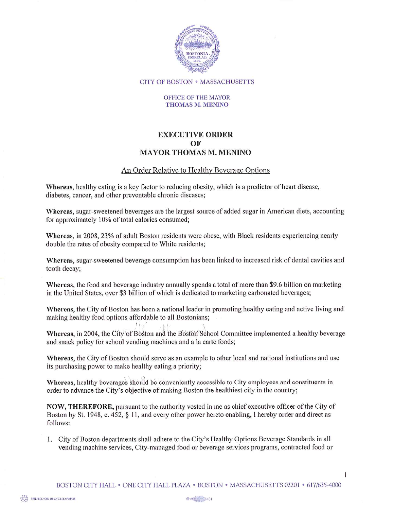

**CITY OF BOSTON • MASSACHUSETTS** 

## OFFICE OF THE MAYOR **THOMAS M. MENINO**

## **EXECUTIVE ORDER** OF **MAYOR THOMAS M. MENINO**

## An Order Relative to Healthy Beverage Options

Whereas, healthy eating is a key factor to reducing obesity, which is a predictor of heart disease, diabetes, cancer, and other preventable chronic diseases;

Whereas, sugar-sweetened beverages are the largest source of added sugar in American diets, accounting for approximately 10% of total calories consumed;

Whereas, in 2008, 23% of adult Boston residents were obese, with Black residents experiencing nearly double the rates of obesity compared to White residents;

Whereas, sugar-sweetened beverage consumption has been linked to increased risk of dental cavities and tooth decay;

Whereas, the food and beverage industry annually spends a total of more than \$9.6 billion on marketing in the United States, over \$3 billion of which is dedicated to marketing carbonated beverages;

Whereas, the City of Boston has been a national leader in promoting healthy eating and active living and making healthy food options affordable to all Bostonians;

Whereas, in 2004, the City of Boston and the Boston School Committee implemented a healthy beverage and snack policy for school vending machines and a la carte foods;

Whereas, the City of Boston should serve as an example to other local and national institutions and use its purchasing power to make healthy eating a priority;

Whereas, healthy beverages should be conveniently accessible to City employees and constituents in order to advance the City's objective of making Boston the healthiest city in the country;

NOW, THEREFORE, pursuant to the authority vested in me as chief executive officer of the City of Boston by St. 1948, c. 452, § 11, and every other power hereto enabling, I hereby order and direct as follows:

1. City of Boston departments shall adhere to the City's Healthy Options Beverage Standards in all vending machine services, City-managed food or beverage services programs, contracted food or

1

**EXAMPRINTED ON RECYCLED PAPER**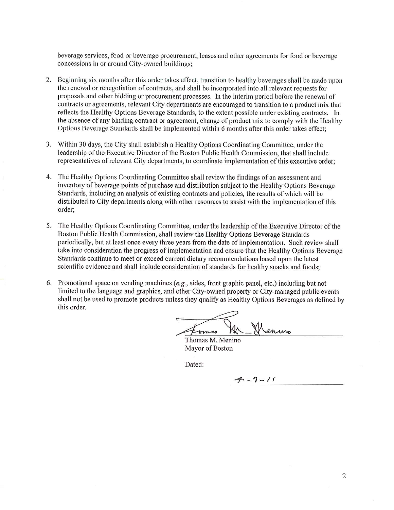beverage services, food or beverage procurement, leases and other agreements for food or beverage concessions in or around City-owned buildings;

- 2. Beginning six months after this order takes effect, transition to healthy beverages shall be made upon the renewal or renegotiation of contracts, and shall be incorporated into all relevant requests for proposals and other bidding or procurement processes. In the interim period before the renewal of contracts or agreements, relevant City departments are encouraged to transition to a product mix that reflects the Healthy Options Beverage Standards, to the extent possible under existing contracts. In the absence of any binding contract or agreement, change of product mix to comply with the Healthy Options Beverage Standards shall be implemented within 6 months after this order takes effect:
- 3. Within 30 days, the City shall establish a Healthy Options Coordinating Committee, under the leadership of the Executive Director of the Boston Public Health Commission, that shall include representatives of relevant City departments, to coordinate implementation of this executive order;
- The Healthy Options Coordinating Committee shall review the findings of an assessment and 4. inventory of beverage points of purchase and distribution subject to the Healthy Options Beverage Standards, including an analysis of existing contracts and policies, the results of which will be distributed to City departments along with other resources to assist with the implementation of this order;
- 5. The Healthy Options Coordinating Committee, under the leadership of the Executive Director of the Boston Public Health Commission, shall review the Healthy Options Beverage Standards periodically, but at least once every three years from the date of implementation. Such review shall take into consideration the progress of implementation and ensure that the Healthy Options Beverage Standards continue to meet or exceed current dietary recommendations based upon the latest scientific evidence and shall include consideration of standards for healthy snacks and foods:
- 6. Promotional space on vending machines (e.g., sides, front graphic panel, etc.) including but not limited to the language and graphics, and other City-owned property or City-managed public events shall not be used to promote products unless they qualify as Healthy Options Beverages as defined by this order.

Thomas M. Menino Mayor of Boston

Dated:

 $7 - 7 - 11$ 

 $\overline{2}$